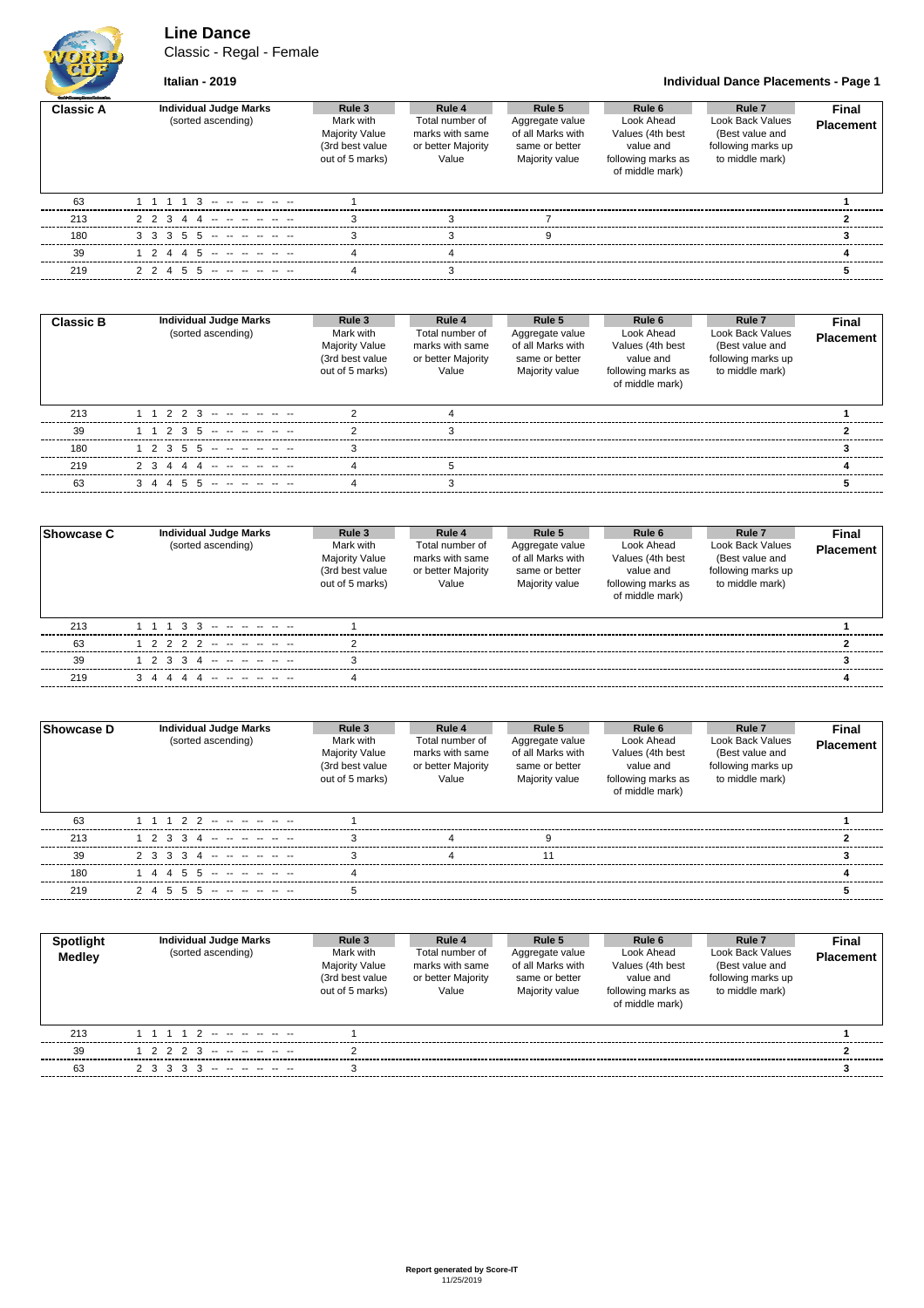## **Line Dance**

Classic - Regal - Female



## **Italian - 2019 Individual Dance Placements - Page 1**

| <b>Outli Grade Drawfolontier</b> |                                                                      |                                              |                                              |                                                |                                                    |                                                          |                                  |
|----------------------------------|----------------------------------------------------------------------|----------------------------------------------|----------------------------------------------|------------------------------------------------|----------------------------------------------------|----------------------------------------------------------|----------------------------------|
| <b>Classic A</b>                 | <b>Individual Judge Marks</b><br>(sorted ascending)                  | Rule 3<br>Mark with<br><b>Majority Value</b> | Rule 4<br>Total number of<br>marks with same | Rule 5<br>Aggregate value<br>of all Marks with | Rule 6<br>Look Ahead<br>Values (4th best           | Rule <sub>7</sub><br>Look Back Values<br>(Best value and | <b>Final</b><br><b>Placement</b> |
|                                  |                                                                      | (3rd best value<br>out of 5 marks)           | or better Majority<br>Value                  | same or better<br>Majority value               | value and<br>following marks as<br>of middle mark) | following marks up<br>to middle mark)                    |                                  |
| 63                               |                                                                      |                                              |                                              |                                                |                                                    |                                                          |                                  |
| 213                              | 2 2 3 4 4 -- -- -- -- --                                             |                                              |                                              |                                                |                                                    |                                                          |                                  |
| 180                              | $3\ \ 3\ \ 3\ \ 5\ \ 5\ \ \dots\ \ \dots\ \ \dots\ \ \dots\ \ \dots$ |                                              |                                              |                                                |                                                    |                                                          |                                  |
| 39                               | 1 2 4 4 5 -- -- -- -- --                                             |                                              | Δ                                            |                                                |                                                    |                                                          |                                  |
| 219                              | 2 2 4 5 5 -- -- -- -- --                                             |                                              |                                              |                                                |                                                    |                                                          |                                  |

| <b>Classic B</b> |  |           |  | <b>Individual Judge Marks</b><br>(sorted ascending) |  |  | Rule 3<br>Mark with<br><b>Majority Value</b><br>(3rd best value<br>out of 5 marks) | Rule 4<br>Total number of<br>marks with same<br>or better Majority<br>Value | Rule 5<br>Aggregate value<br>of all Marks with<br>same or better<br>Majority value | Rule 6<br>Look Ahead<br>Values (4th best<br>value and<br>following marks as<br>of middle mark) | Rule <sub>7</sub><br>Look Back Values<br>(Best value and<br>following marks up<br>to middle mark) | Final<br><b>Placement</b> |
|------------------|--|-----------|--|-----------------------------------------------------|--|--|------------------------------------------------------------------------------------|-----------------------------------------------------------------------------|------------------------------------------------------------------------------------|------------------------------------------------------------------------------------------------|---------------------------------------------------------------------------------------------------|---------------------------|
| 213              |  |           |  | 1 1 2 2 3 -- -- -- -- --                            |  |  |                                                                                    |                                                                             |                                                                                    |                                                                                                |                                                                                                   |                           |
| 39               |  |           |  | $1 1 2 3 5 - - - - - - - -$                         |  |  |                                                                                    |                                                                             |                                                                                    |                                                                                                |                                                                                                   |                           |
| 180              |  |           |  | $1$ 2 3 5 5 $     -$                                |  |  |                                                                                    |                                                                             |                                                                                    |                                                                                                |                                                                                                   |                           |
| 219              |  |           |  | 2 3 4 4 4 -- -- -- -- --                            |  |  |                                                                                    |                                                                             |                                                                                    |                                                                                                |                                                                                                   |                           |
| 63               |  | 3 4 4 5 5 |  |                                                     |  |  |                                                                                    |                                                                             |                                                                                    |                                                                                                |                                                                                                   |                           |

| <b>Showcase C</b> | <b>Individual Judge Marks</b><br>(sorted ascending) | Rule 3<br>Mark with<br>Majority Value<br>(3rd best value<br>out of 5 marks) | Rule 4<br>Total number of<br>marks with same<br>or better Majority<br>Value | Rule 5<br>Aggregate value<br>of all Marks with<br>same or better<br>Majority value | Rule 6<br>Look Ahead<br>Values (4th best<br>value and<br>following marks as<br>of middle mark) | Rule <sub>7</sub><br>Look Back Values<br>(Best value and<br>following marks up<br>to middle mark) | <b>Final</b><br><b>Placement</b> |
|-------------------|-----------------------------------------------------|-----------------------------------------------------------------------------|-----------------------------------------------------------------------------|------------------------------------------------------------------------------------|------------------------------------------------------------------------------------------------|---------------------------------------------------------------------------------------------------|----------------------------------|
| 213               |                                                     |                                                                             |                                                                             |                                                                                    |                                                                                                |                                                                                                   |                                  |
| 63                | 1 2 2 2 2 -- -- -- -- --                            |                                                                             |                                                                             |                                                                                    |                                                                                                |                                                                                                   |                                  |
| 39                | $1$ 2 3 3 4 $     -$                                |                                                                             |                                                                             |                                                                                    |                                                                                                |                                                                                                   |                                  |
| 219               | 3 4 4 4 4 --------                                  |                                                                             |                                                                             |                                                                                    |                                                                                                |                                                                                                   |                                  |

| <b>Showcase D</b> | <b>Individual Judge Marks</b><br>(sorted ascending) | Rule 3<br>Mark with<br><b>Majority Value</b><br>(3rd best value<br>out of 5 marks) | Rule 4<br>Total number of<br>marks with same<br>or better Majority<br>Value | Rule 5<br>Aggregate value<br>of all Marks with<br>same or better<br>Majority value | Rule 6<br>Look Ahead<br>Values (4th best<br>value and<br>following marks as<br>of middle mark) | Rule <sub>7</sub><br><b>Look Back Values</b><br>(Best value and<br>following marks up<br>to middle mark) | Final<br><b>Placement</b> |
|-------------------|-----------------------------------------------------|------------------------------------------------------------------------------------|-----------------------------------------------------------------------------|------------------------------------------------------------------------------------|------------------------------------------------------------------------------------------------|----------------------------------------------------------------------------------------------------------|---------------------------|
| 63                | 1 1 1 2 2 -- -- -- -- --                            |                                                                                    |                                                                             |                                                                                    |                                                                                                |                                                                                                          |                           |
| 213               | 1 2 3 3 4 -- -- -- -- --                            |                                                                                    |                                                                             |                                                                                    |                                                                                                |                                                                                                          |                           |
| 39                | 2 3 3 3 4 -- -- -- -- --                            |                                                                                    |                                                                             |                                                                                    |                                                                                                |                                                                                                          |                           |
| 180               | 1 4 4 5 5 -- -- -- -- --                            |                                                                                    |                                                                             |                                                                                    |                                                                                                |                                                                                                          |                           |
| 219               | 2 4 5 5 5 -- -- -- -- --                            |                                                                                    |                                                                             |                                                                                    |                                                                                                |                                                                                                          |                           |

| <b>Spotlight</b><br><b>Medlev</b> | Individual Judge Marks<br>(sorted ascending) | Rule 3<br>Mark with<br><b>Majority Value</b><br>(3rd best value<br>out of 5 marks) | Rule 4<br>Total number of<br>marks with same<br>or better Majority<br>Value | Rule 5<br>Aggregate value<br>of all Marks with<br>same or better<br>Majority value | Rule 6<br>Look Ahead<br>Values (4th best<br>value and<br>following marks as<br>of middle mark) | Rule <sub>7</sub><br>Look Back Values<br>(Best value and<br>following marks up<br>to middle mark) | <b>Final</b><br><b>Placement</b> |
|-----------------------------------|----------------------------------------------|------------------------------------------------------------------------------------|-----------------------------------------------------------------------------|------------------------------------------------------------------------------------|------------------------------------------------------------------------------------------------|---------------------------------------------------------------------------------------------------|----------------------------------|
| 213                               | and the contract and the                     |                                                                                    |                                                                             |                                                                                    |                                                                                                |                                                                                                   |                                  |
| 39                                | $1 2 2 2 3 - - - - - - -$                    |                                                                                    |                                                                             |                                                                                    |                                                                                                |                                                                                                   |                                  |
| 63                                | $2$ 3 3 3 3 - - - - - - -                    |                                                                                    |                                                                             |                                                                                    |                                                                                                |                                                                                                   |                                  |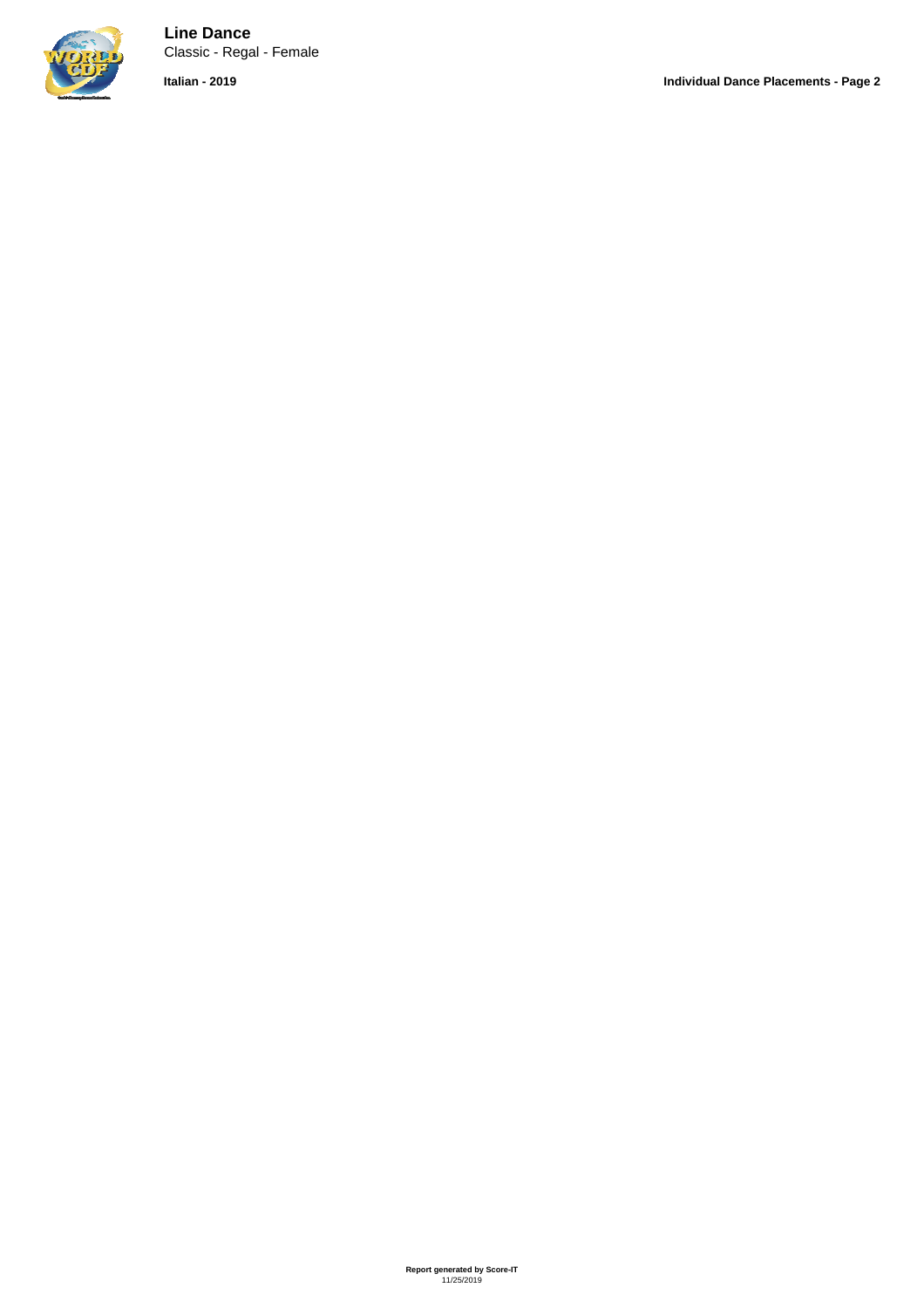

**Italian - 2019 Individual Dance Placements - Page 2**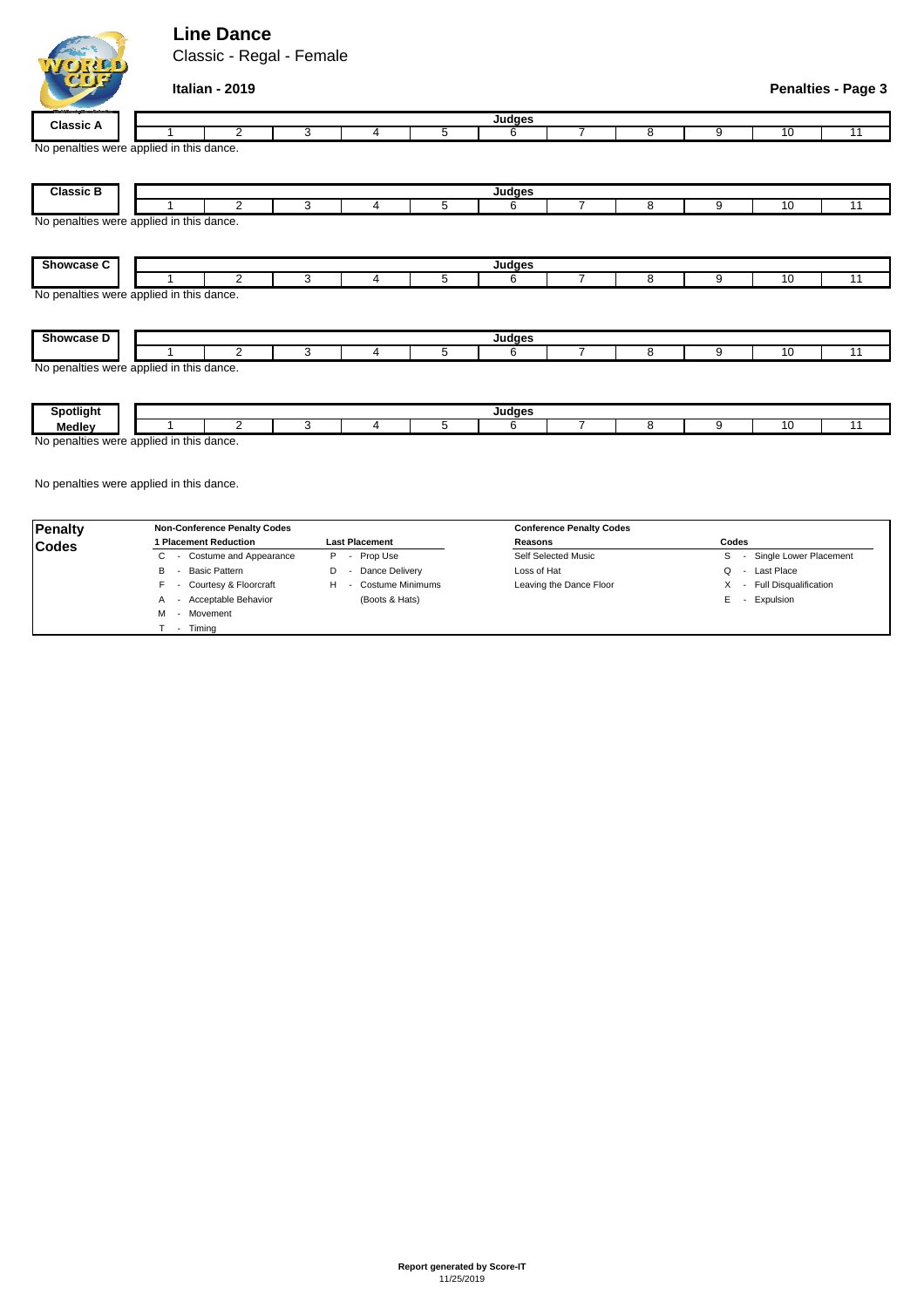## **Line Dance**

Classic - Regal - Female



**Italian - 2019 Penalties - Page 3**

| poveo Governo anche<br><b>Classic A</b>  | Judges |                |   |   |   |             |   |   |   |    |                 |  |
|------------------------------------------|--------|----------------|---|---|---|-------------|---|---|---|----|-----------------|--|
|                                          |        | $\overline{2}$ | 3 | 4 | 5 | 6           | 7 | 8 | 9 | 10 | $\overline{11}$ |  |
| No penalties were applied in this dance. |        |                |   |   |   |             |   |   |   |    |                 |  |
|                                          |        |                |   |   |   |             |   |   |   |    |                 |  |
|                                          |        |                |   |   |   |             |   |   |   |    |                 |  |
| <b>Classic B</b>                         |        | 2              | 3 |   | 5 | Judges      | 7 | 8 | 9 | 10 | 11              |  |
|                                          |        |                |   | 4 |   | 6           |   |   |   |    |                 |  |
| No penalties were applied in this dance. |        |                |   |   |   |             |   |   |   |    |                 |  |
|                                          |        |                |   |   |   |             |   |   |   |    |                 |  |
|                                          |        |                |   |   |   |             |   |   |   |    |                 |  |
| <b>Showcase C</b>                        |        | $\overline{2}$ | 3 | 4 | 5 | Judges<br>6 | 7 | 8 | 9 | 10 | 11              |  |
| No penalties were applied in this dance. |        |                |   |   |   |             |   |   |   |    |                 |  |
|                                          |        |                |   |   |   |             |   |   |   |    |                 |  |
|                                          |        |                |   |   |   |             |   |   |   |    |                 |  |
| Showcase D                               |        |                |   |   |   | Judges      |   |   |   |    |                 |  |
|                                          |        | 2              | 3 | 4 | 5 | 6           | 7 | 8 | 9 | 10 | 11              |  |
| No penalties were applied in this dance. |        |                |   |   |   |             |   |   |   |    |                 |  |
|                                          |        |                |   |   |   |             |   |   |   |    |                 |  |
|                                          |        |                |   |   |   |             |   |   |   |    |                 |  |
| <b>Spotlight</b>                         |        |                |   |   |   | Judges      |   |   |   |    |                 |  |
| <b>Medley</b>                            |        | 2              | 3 | 4 | 5 | 6           | 7 | 8 | 9 | 10 | 11              |  |
| No penalties were applied in this dance. |        |                |   |   |   |             |   |   |   |    |                 |  |
|                                          |        |                |   |   |   |             |   |   |   |    |                 |  |

No penalties were applied in this dance.

| Penalty      | <b>Non-Conference Penalty Codes</b> |                                            | <b>Conference Penalty Codes</b> |                                                    |
|--------------|-------------------------------------|--------------------------------------------|---------------------------------|----------------------------------------------------|
| <b>Codes</b> | l Placement Reduction               | <b>Last Placement</b>                      | Reasons                         | Codes                                              |
|              | - Costume and Appearance<br>U       | Prop Use<br>$\sim$                         | Self Selected Music             | Single Lower Placement<br>$\overline{\phantom{a}}$ |
|              | - Basic Pattern<br>в                | Dance Delivery<br>$\overline{\phantom{a}}$ | Loss of Hat                     | Q - Last Place                                     |
|              | - Courtesy & Floorcraft             | Costume Minimums<br>н                      | Leaving the Dance Floor         | X - Full Disqualification                          |
|              | - Acceptable Behavior<br>Α          | (Boots & Hats)                             |                                 | E - Expulsion                                      |
|              | - Movement<br>м                     |                                            |                                 |                                                    |
|              | Timina                              |                                            |                                 |                                                    |